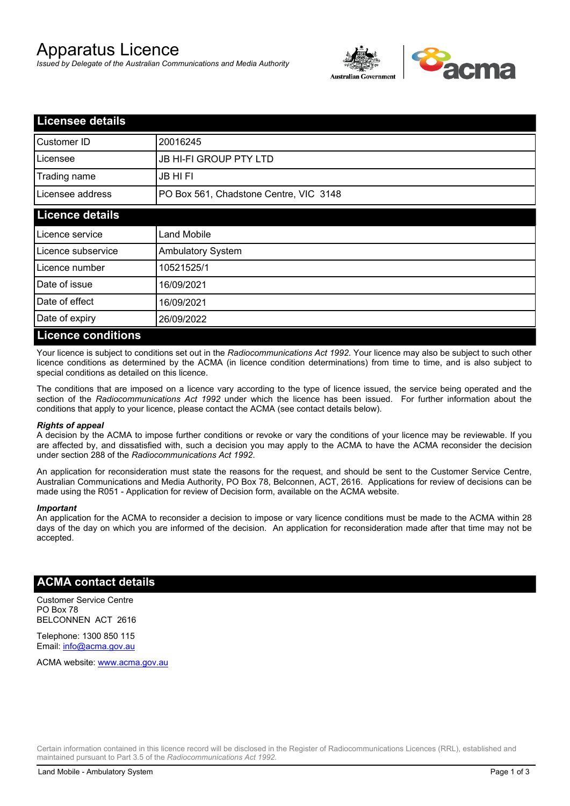# Apparatus Licence

*Issued by Delegate of the Australian Communications and Media Authority*



| <b>Licensee details</b>   |                                        |  |
|---------------------------|----------------------------------------|--|
| Customer ID               | 20016245                               |  |
| Licensee                  | <b>JB HI-FI GROUP PTY LTD</b>          |  |
| Trading name              | <b>JB HIFI</b>                         |  |
| Licensee address          | PO Box 561, Chadstone Centre, VIC 3148 |  |
| <b>Licence details</b>    |                                        |  |
| Licence service           | <b>Land Mobile</b>                     |  |
| Licence subservice        | <b>Ambulatory System</b>               |  |
| Licence number            | 10521525/1                             |  |
| Date of issue             | 16/09/2021                             |  |
| Date of effect            | 16/09/2021                             |  |
| Date of expiry            | 26/09/2022                             |  |
| <b>Licence conditions</b> |                                        |  |

Your licence is subject to conditions set out in the *Radiocommunications Act 1992*. Your licence may also be subject to such other licence conditions as determined by the ACMA (in licence condition determinations) from time to time, and is also subject to special conditions as detailed on this licence.

The conditions that are imposed on a licence vary according to the type of licence issued, the service being operated and the section of the *Radiocommunications Act 1992* under which the licence has been issued. For further information about the conditions that apply to your licence, please contact the ACMA (see contact details below).

#### *Rights of appeal*

A decision by the ACMA to impose further conditions or revoke or vary the conditions of your licence may be reviewable. If you are affected by, and dissatisfied with, such a decision you may apply to the ACMA to have the ACMA reconsider the decision under section 288 of the *Radiocommunications Act 1992*.

An application for reconsideration must state the reasons for the request, and should be sent to the Customer Service Centre, Australian Communications and Media Authority, PO Box 78, Belconnen, ACT, 2616. Applications for review of decisions can be made using the R051 - Application for review of Decision form, available on the ACMA website.

#### *Important*

An application for the ACMA to reconsider a decision to impose or vary licence conditions must be made to the ACMA within 28 days of the day on which you are informed of the decision. An application for reconsideration made after that time may not be accepted.

### **ACMA contact details**

Customer Service Centre PO Box 78 BELCONNEN ACT 2616

Telephone: 1300 850 115 Email: info@acma.gov.au

ACMA website: www.acma.gov.au

Certain information contained in this licence record will be disclosed in the Register of Radiocommunications Licences (RRL), established and maintained pursuant to Part 3.5 of the *Radiocommunications Act 1992.*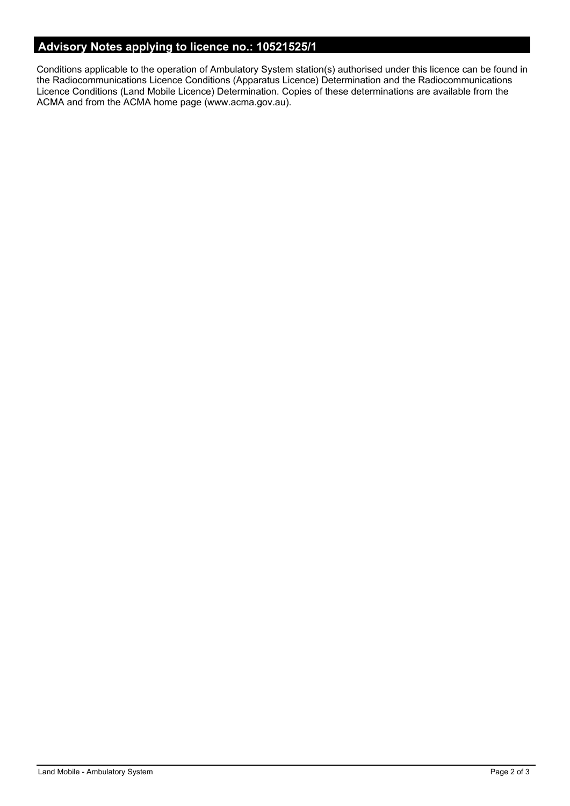# **Advisory Notes applying to licence no.: 10521525/1**

Conditions applicable to the operation of Ambulatory System station(s) authorised under this licence can be found in the Radiocommunications Licence Conditions (Apparatus Licence) Determination and the Radiocommunications Licence Conditions (Land Mobile Licence) Determination. Copies of these determinations are available from the ACMA and from the ACMA home page (www.acma.gov.au).